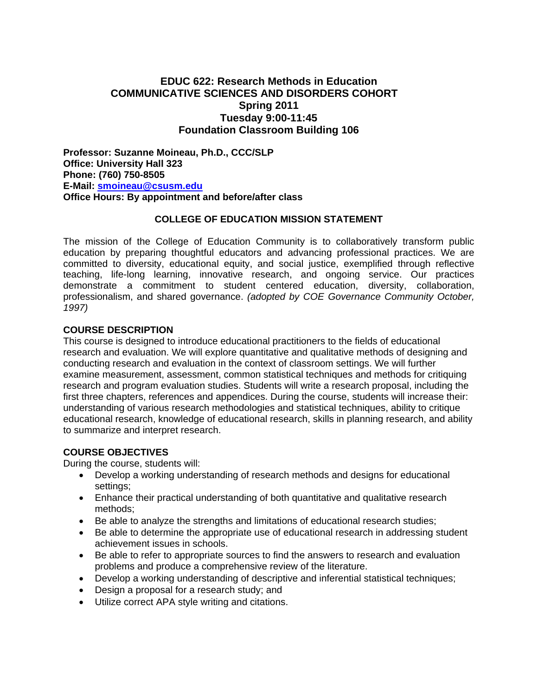# **EDUC 622: Research Methods in Education COMMUNICATIVE SCIENCES AND DISORDERS COHORT Spring 2011 Tuesday 9:00-11:45 Foundation Classroom Building 106**

**Professor: Suzanne Moineau, Ph.D., CCC/SLP Office: University Hall 323 Phone: (760) 750-8505 E-Mail: smoineau@csusm.edu Office Hours: By appointment and before/after class** 

#### **COLLEGE OF EDUCATION MISSION STATEMENT**

The mission of the College of Education Community is to collaboratively transform public education by preparing thoughtful educators and advancing professional practices. We are committed to diversity, educational equity, and social justice, exemplified through reflective teaching, life-long learning, innovative research, and ongoing service. Our practices demonstrate a commitment to student centered education, diversity, collaboration, professionalism, and shared governance. *(adopted by COE Governance Community October, 1997)* 

#### **COURSE DESCRIPTION**

This course is designed to introduce educational practitioners to the fields of educational research and evaluation. We will explore quantitative and qualitative methods of designing and conducting research and evaluation in the context of classroom settings. We will further examine measurement, assessment, common statistical techniques and methods for critiquing research and program evaluation studies. Students will write a research proposal, including the first three chapters, references and appendices. During the course, students will increase their: understanding of various research methodologies and statistical techniques, ability to critique educational research, knowledge of educational research, skills in planning research, and ability to summarize and interpret research.

#### **COURSE OBJECTIVES**

During the course, students will:

- settings; Develop a working understanding of research methods and designs for educational
- methods; Enhance their practical understanding of both quantitative and qualitative research
- Be able to analyze the strengths and limitations of educational research studies;
- achievement issues in schools. Be able to determine the appropriate use of educational research in addressing student
- problems and produce a comprehensive review of the literature. Be able to refer to appropriate sources to find the answers to research and evaluation
- Develop a working understanding of descriptive and inferential statistical techniques;
- Design a proposal for a research study; and
- Utilize correct APA style writing and citations.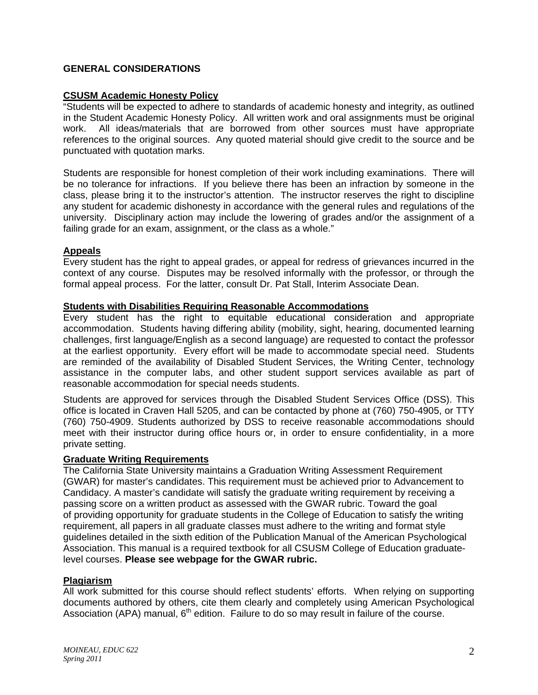## **GENERAL CONSIDERATIONS**

### **CSUSM Academic Honesty Policy**

"Students will be expected to adhere to standards of academic honesty and integrity, as outlined in the Student Academic Honesty Policy. All written work and oral assignments must be original work. All ideas/materials that are borrowed from other sources must have appropriate references to the original sources. Any quoted material should give credit to the source and be punctuated with quotation marks.

Students are responsible for honest completion of their work including examinations. There will be no tolerance for infractions. If you believe there has been an infraction by someone in the class, please bring it to the instructor's attention. The instructor reserves the right to discipline any student for academic dishonesty in accordance with the general rules and regulations of the university. Disciplinary action may include the lowering of grades and/or the assignment of a failing grade for an exam, assignment, or the class as a whole."

#### **Appeals**

Every student has the right to appeal grades, or appeal for redress of grievances incurred in the context of any course. Disputes may be resolved informally with the professor, or through the formal appeal process. For the latter, consult Dr. Pat Stall, Interim Associate Dean.

#### **Students with Disabilities Requiring Reasonable Accommodations**

Every student has the right to equitable educational consideration and appropriate accommodation. Students having differing ability (mobility, sight, hearing, documented learning challenges, first language/English as a second language) are requested to contact the professor at the earliest opportunity. Every effort will be made to accommodate special need. Students are reminded of the availability of Disabled Student Services, the Writing Center, technology assistance in the computer labs, and other student support services available as part of reasonable accommodation for special needs students.

Students are approved for services through the Disabled Student Services Office (DSS). This office is located in Craven Hall 5205, and can be contacted by phone at (760) 750-4905, or TTY (760) 750-4909. Students authorized by DSS to receive reasonable accommodations should meet with their instructor during office hours or, in order to ensure confidentiality, in a more private setting.

#### **Graduate Writing Requirements**

The California State University maintains a Graduation Writing Assessment Requirement (GWAR) for master's candidates. This requirement must be achieved prior to Advancement to Candidacy. A master's candidate will satisfy the graduate writing requirement by receiving a passing score on a written product as assessed with the GWAR rubric. Toward the goal of providing opportunity for graduate students in the College of Education to satisfy the writing requirement, all papers in all graduate classes must adhere to the writing and format style guidelines detailed in the sixth edition of the Publication Manual of the American Psychological Association. This manual is a required textbook for all CSUSM College of Education graduatelevel courses. **Please see webpage for the GWAR rubric.** 

#### **Plagiarism**

All work submitted for this course should reflect students' efforts. When relying on supporting documents authored by others, cite them clearly and completely using American Psychological Association (APA) manual,  $6<sup>th</sup>$  edition. Failure to do so may result in failure of the course.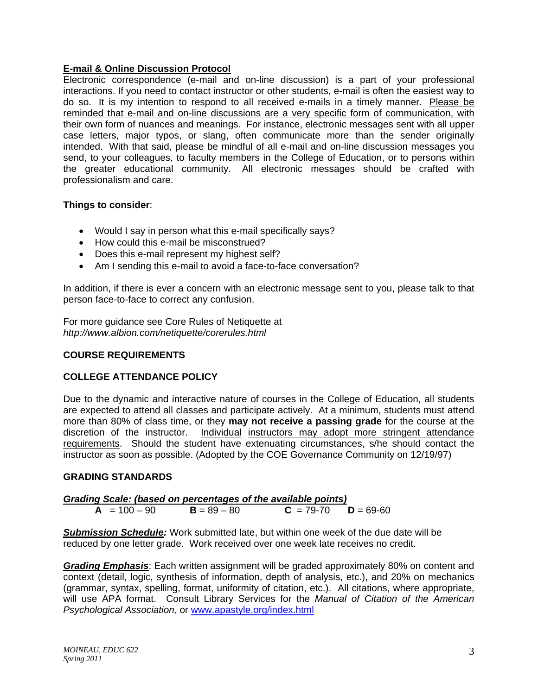## **E-mail & Online Discussion Protocol**

Electronic correspondence (e-mail and on-line discussion) is a part of your professional interactions. If you need to contact instructor or other students, e-mail is often the easiest way to do so. It is my intention to respond to all received e-mails in a timely manner. Please be reminded that e-mail and on-line discussions are a very specific form of communication, with their own form of nuances and meanings. For instance, electronic messages sent with all upper case letters, major typos, or slang, often communicate more than the sender originally intended. With that said, please be mindful of all e-mail and on-line discussion messages you send, to your colleagues, to faculty members in the College of Education, or to persons within the greater educational community. All electronic messages should be crafted with professionalism and care.

## **Things to consider**:

- Would I say in person what this e-mail specifically says?
- How could this e-mail be misconstrued?
- Does this e-mail represent my highest self?
- Am I sending this e-mail to avoid a face-to-face conversation?

In addition, if there is ever a concern with an electronic message sent to you, please talk to that person face-to-face to correct any confusion.

For more guidance see Core Rules of Netiquette at *http://www.albion.com/netiquette/corerules.html* 

# **COURSE REQUIREMENTS**

## **COLLEGE ATTENDANCE POLICY**

discretion of the instructor. Individual instructors may adopt more stringent attendance Due to the dynamic and interactive nature of courses in the College of Education, all students are expected to attend all classes and participate actively. At a minimum, students must attend more than 80% of class time, or they **may not receive a passing grade** for the course at the requirements. Should the student have extenuating circumstances, s/he should contact the instructor as soon as possible. (Adopted by the COE Governance Community on 12/19/97)

## **GRADING STANDARDS**

*Grading Scale: (based on percentages of the available points)*  **A** =  $100 - 90$  **B** =  $89 - 80$  **C** =  $79 - 70$  **D** =  $69 - 60$ 

*Submission Schedule:* Work submitted late, but within one week of the due date will be reduced by one letter grade. Work received over one week late receives no credit.

 will use APA format. Consult Library Services for the *Manual of Citation of the American Grading Emphasis*: Each written assignment will be graded approximately 80% on content and context (detail, logic, synthesis of information, depth of analysis, etc.), and 20% on mechanics (grammar, syntax, spelling, format, uniformity of citation, etc.). All citations, where appropriate, *Psychological Association,* or www.apastyle.org/index.html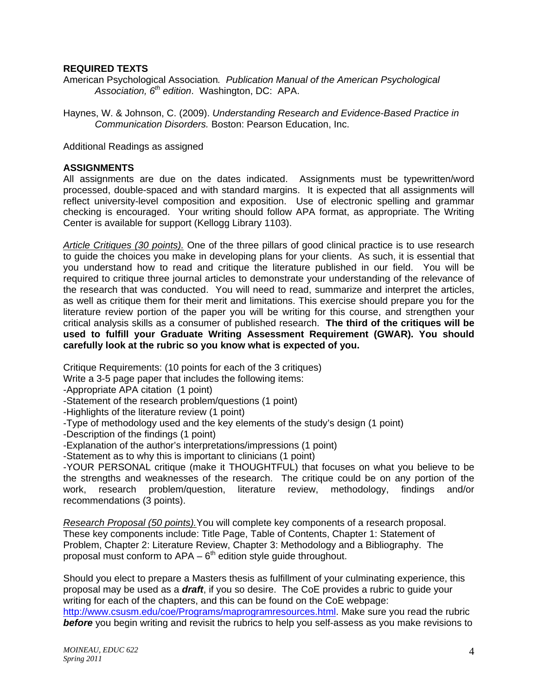## **REQUIRED TEXTS**

American Psychological Association*. Publication Manual of the American Psychological Association, 6th edition*. Washington, DC: APA.

 *Communication Disorders.* Boston: Pearson Education, Inc. Additional Readings as assigned Haynes, W. & Johnson, C. (2009). *Understanding Research and Evidence-Based Practice in* 

#### **ASSIGNMENTS**

All assignments are due on the dates indicated. Assignments must be typewritten/word processed, double-spaced and with standard margins. It is expected that all assignments will reflect university-level composition and exposition. Use of electronic spelling and grammar checking is encouraged. Your writing should follow APA format, as appropriate. The Writing Center is available for support (Kellogg Library 1103).

*Article Critiques (30 points).* One of the three pillars of good clinical practice is to use research to guide the choices you make in developing plans for your clients. As such, it is essential that you understand how to read and critique the literature published in our field. You will be required to critique three journal articles to demonstrate your understanding of the relevance of the research that was conducted. You will need to read, summarize and interpret the articles, as well as critique them for their merit and limitations. This exercise should prepare you for the literature review portion of the paper you will be writing for this course, and strengthen your critical analysis skills as a consumer of published research. **The third of the critiques will be used to fulfill your Graduate Writing Assessment Requirement (GWAR). You should carefully look at the rubric so you know what is expected of you.** 

Critique Requirements: (10 points for each of the 3 critiques)

Write a 3-5 page paper that includes the following items:

-Appropriate APA citation (1 point)

- -Statement of the research problem/questions (1 point)
- -Highlights of the literature review (1 point)
- -Type of methodology used and the key elements of the study's design (1 point)
- -Description of the findings (1 point)
- -Explanation of the author's interpretations/impressions (1 point)

-Statement as to why this is important to clinicians (1 point)

-YOUR PERSONAL critique (make it THOUGHTFUL) that focuses on what you believe to be the strengths and weaknesses of the research. The critique could be on any portion of the work, research problem/question, literature review, methodology, findings and/or recommendations (3 points).

*Research Proposal (50 points).*You will complete key components of a research proposal. These key components include: Title Page, Table of Contents, Chapter 1: Statement of Problem, Chapter 2: Literature Review, Chapter 3: Methodology and a Bibliography. The proposal must conform to  $APA - 6<sup>th</sup>$  edition style guide throughout.

Should you elect to prepare a Masters thesis as fulfillment of your culminating experience, this proposal may be used as a *draft*, if you so desire. The CoE provides a rubric to guide your writing for each of the chapters, and this can be found on the CoE webpage: http://www.csusm.edu/coe/Programs/maprogramresources.html. Make sure you read the rubric **before** you begin writing and revisit the rubrics to help you self-assess as you make revisions to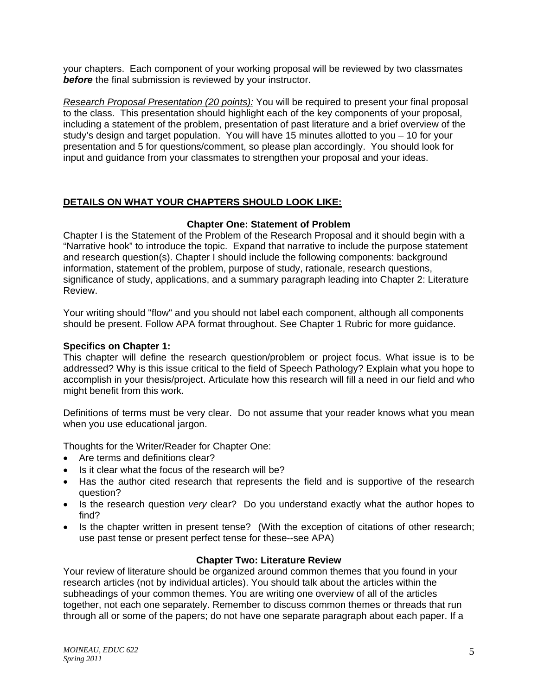your chapters. Each component of your working proposal will be reviewed by two classmates **before** the final submission is reviewed by your instructor.

*Research Proposal Presentation (20 points):* You will be required to present your final proposal to the class. This presentation should highlight each of the key components of your proposal, including a statement of the problem, presentation of past literature and a brief overview of the study's design and target population. You will have 15 minutes allotted to you – 10 for your presentation and 5 for questions/comment, so please plan accordingly. You should look for input and guidance from your classmates to strengthen your proposal and your ideas.

# **DETAILS ON WHAT YOUR CHAPTERS SHOULD LOOK LIKE:**

# **Chapter One: Statement of Problem**

Chapter I is the Statement of the Problem of the Research Proposal and it should begin with a "Narrative hook" to introduce the topic. Expand that narrative to include the purpose statement and research question(s). Chapter I should include the following components: background information, statement of the problem, purpose of study, rationale, research questions, significance of study, applications, and a summary paragraph leading into Chapter 2: Literature Review.

Your writing should "flow" and you should not label each component, although all components should be present. Follow APA format throughout. See Chapter 1 Rubric for more guidance.

## **Specifics on Chapter 1:**

This chapter will define the research question/problem or project focus. What issue is to be addressed? Why is this issue critical to the field of Speech Pathology? Explain what you hope to accomplish in your thesis/project. Articulate how this research will fill a need in our field and who might benefit from this work.

Definitions of terms must be very clear. Do not assume that your reader knows what you mean when you use educational jargon.

Thoughts for the Writer/Reader for Chapter One:

- Are terms and definitions clear?
- Is it clear what the focus of the research will be?
- Has the author cited research that represents the field and is supportive of the research question?
- Is the research question *very* clear? Do you understand exactly what the author hopes to find?
- Is the chapter written in present tense? (With the exception of citations of other research; use past tense or present perfect tense for these--see APA)

## **Chapter Two: Literature Review**

Your review of literature should be organized around common themes that you found in your research articles (not by individual articles). You should talk about the articles within the subheadings of your common themes. You are writing one overview of all of the articles together, not each one separately. Remember to discuss common themes or threads that run through all or some of the papers; do not have one separate paragraph about each paper. If a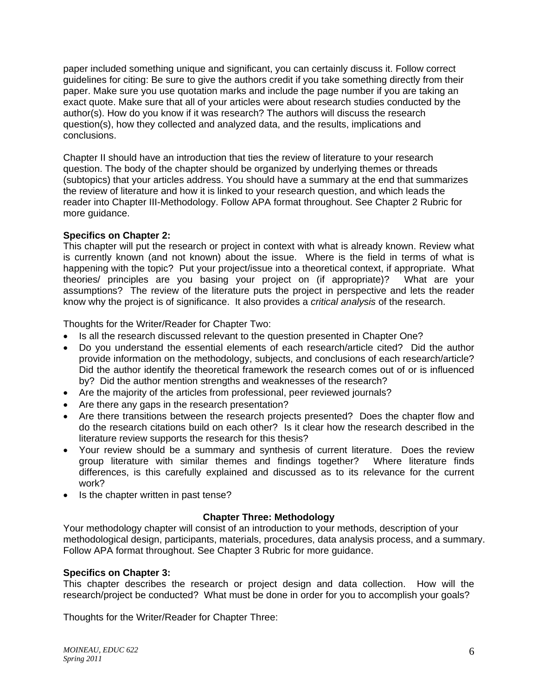paper included something unique and significant, you can certainly discuss it. Follow correct guidelines for citing: Be sure to give the authors credit if you take something directly from their paper. Make sure you use quotation marks and include the page number if you are taking an exact quote. Make sure that all of your articles were about research studies conducted by the author(s). How do you know if it was research? The authors will discuss the research question(s), how they collected and analyzed data, and the results, implications and conclusions.

Chapter II should have an introduction that ties the review of literature to your research question. The body of the chapter should be organized by underlying themes or threads (subtopics) that your articles address. You should have a summary at the end that summarizes the review of literature and how it is linked to your research question, and which leads the reader into Chapter III-Methodology. Follow APA format throughout. See Chapter 2 Rubric for more guidance.

## **Specifics on Chapter 2:**

This chapter will put the research or project in context with what is already known. Review what is currently known (and not known) about the issue. Where is the field in terms of what is happening with the topic? Put your project/issue into a theoretical context, if appropriate. What theories/ principles are you basing your project on (if appropriate)? What are your assumptions? The review of the literature puts the project in perspective and lets the reader know why the project is of significance. It also provides a *critical analysis* of the research.

Thoughts for the Writer/Reader for Chapter Two:

- Is all the research discussed relevant to the question presented in Chapter One?
- provide information on the methodology, subjects, and conclusions of each research/article? Do you understand the essential elements of each research/article cited? Did the author Did the author identify the theoretical framework the research comes out of or is influenced by? Did the author mention strengths and weaknesses of the research?
- Are the majority of the articles from professional, peer reviewed journals?
- Are there any gaps in the research presentation?
- Are there transitions between the research projects presented? Does the chapter flow and do the research citations build on each other? Is it clear how the research described in the literature review supports the research for this thesis?
- Your review should be a summary and synthesis of current literature. Does the review group literature with similar themes and findings together? Where literature finds differences, is this carefully explained and discussed as to its relevance for the current work?
- Is the chapter written in past tense?

## **Chapter Three: Methodology**

Your methodology chapter will consist of an introduction to your methods, description of your methodological design, participants, materials, procedures, data analysis process, and a summary. Follow APA format throughout. See Chapter 3 Rubric for more guidance.

#### **Specifics on Chapter 3:**

This chapter describes the research or project design and data collection. How will the research/project be conducted? What must be done in order for you to accomplish your goals?

Thoughts for the Writer/Reader for Chapter Three: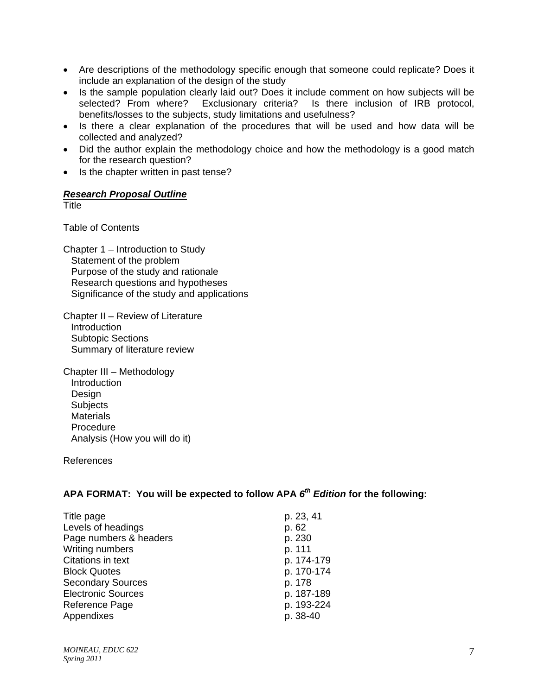- Are descriptions of the methodology specific enough that someone could replicate? Does it include an explanation of the design of the study
- Is the sample population clearly laid out? Does it include comment on how subjects will be selected? From where? Exclusionary criteria? Is there inclusion of IRB protocol, benefits/losses to the subjects, study limitations and usefulness?
- Is there a clear explanation of the procedures that will be used and how data will be collected and analyzed?
- Did the author explain the methodology choice and how the methodology is a good match for the research question?
- Is the chapter written in past tense?

## *Research Proposal Outline*

**Title** 

Table of Contents

Chapter 1 – Introduction to Study Statement of the problem Purpose of the study and rationale Research questions and hypotheses Significance of the study and applications

Chapter II – Review of Literature **Introduction**  Subtopic Sections Summary of literature review

Chapter III – Methodology Introduction Design **Subjects Materials**  Procedure Analysis (How you will do it)

References

## **APA FORMAT: You will be expected to follow APA** *6th Edition* **for the following:**

| Title page                | p. 23, 41  |
|---------------------------|------------|
| Levels of headings        | p. 62      |
| Page numbers & headers    | p. 230     |
| Writing numbers           | p. 111     |
| Citations in text         | p. 174-179 |
| <b>Block Quotes</b>       | p. 170-174 |
| <b>Secondary Sources</b>  | p. 178     |
| <b>Electronic Sources</b> | p. 187-189 |
| Reference Page            | p. 193-224 |
| Appendixes                | p. 38-40   |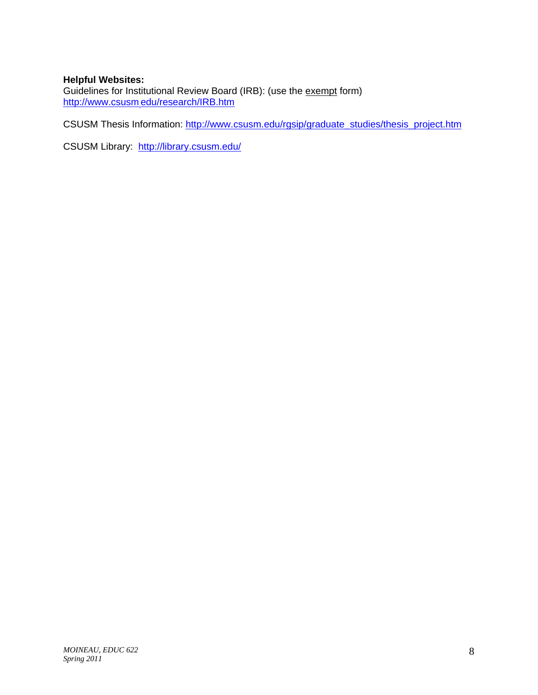## **Helpful Websites:**

http://www.csusm.edu/research/IRB.htm Guidelines for Institutional Review Board (IRB): (use the exempt form)

<u>http://www.csusm<sub>.</sub>edu/research/IRB.htm</u><br>CSUSM Thesis Information: <u>http://www.csusm.edu/rgsip/graduate\_studies/thesis\_project.htm</u><br>CSUSM Library: <u>http://library.csusm.edu/</u>

CSUSM Library: http://library.csusm.edu/